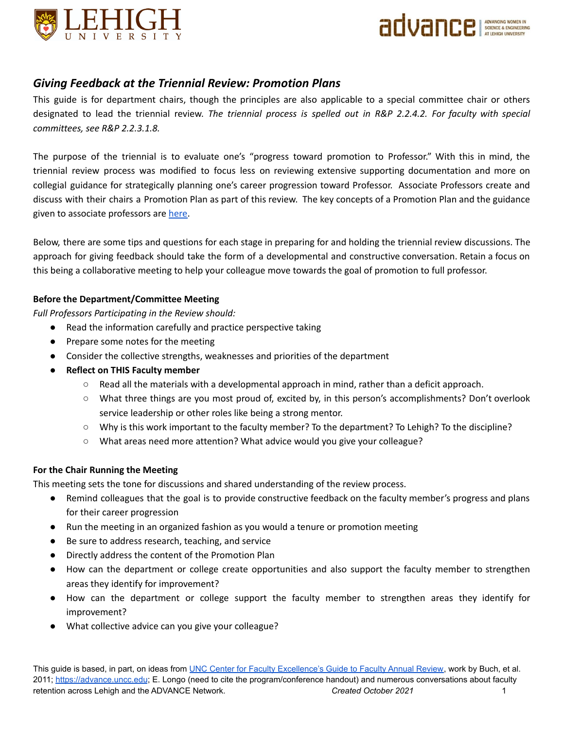



# *Giving Feedback at the Triennial Review: Promotion Plans*

This guide is for department chairs, though the principles are also applicable to a special committee chair or others designated to lead the triennial review. *The triennial process is spelled out in R&P 2.2.4.2. For faculty with special committees, see R&P 2.2.3.1.8.*

The purpose of the triennial is to evaluate one's "progress toward promotion to Professor." With this in mind, the triennial review process was modified to focus less on reviewing extensive supporting documentation and more on collegial guidance for strategically planning one's career progression toward Professor. Associate Professors create and discuss with their chairs a Promotion Plan as part of this review. The key concepts of a Promotion Plan and the guidance given to associate professors are [here.](https://advance.cc.lehigh.edu/faculty-promotion-plan)

Below, there are some tips and questions for each stage in preparing for and holding the triennial review discussions. The approach for giving feedback should take the form of a developmental and constructive conversation. Retain a focus on this being a collaborative meeting to help your colleague move towards the goal of promotion to full professor.

## **Before the Department/Committee Meeting**

*Full Professors Participating in the Review should:*

- Read the information carefully and practice perspective taking
- Prepare some notes for the meeting
- Consider the collective strengths, weaknesses and priorities of the department
- **● Reflect on THIS Faculty member**
	- Read all the materials with a developmental approach in mind, rather than a deficit approach.
	- What three things are you most proud of, excited by, in this person's accomplishments? Don't overlook service leadership or other roles like being a strong mentor.
	- Why is this work important to the faculty member? To the department? To Lehigh? To the discipline?
	- What areas need more attention? What advice would you give your colleague?

## **For the Chair Running the Meeting**

This meeting sets the tone for discussions and shared understanding of the review process.

- Remind colleagues that the goal is to provide constructive feedback on the faculty member's progress and plans for their career progression
- Run the meeting in an organized fashion as you would a tenure or promotion meeting
- Be sure to address research, teaching, and service
- Directly address the content of the Promotion Plan
- How can the department or college create opportunities and also support the faculty member to strengthen areas they identify for improvement?
- How can the department or college support the faculty member to strengthen areas they identify for improvement?
- What collective advice can you give your colleague?